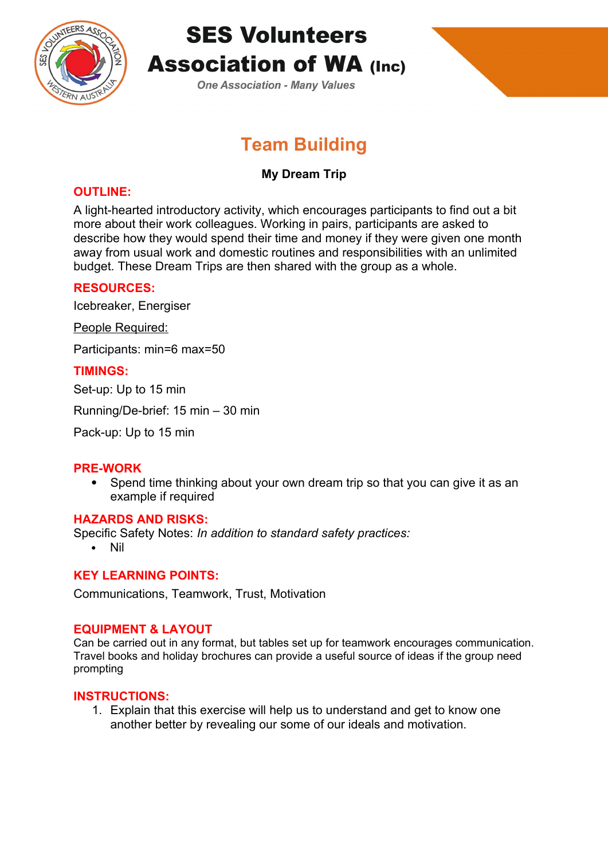

# **SES Volunteers Association of WA (Inc)**

**One Association - Many Values** 

# **Team Building**

# **My Dream Trip**

### **OUTLINE:**

A light-hearted introductory activity, which encourages participants to find out a bit more about their work colleagues. Working in pairs, participants are asked to describe how they would spend their time and money if they were given one month away from usual work and domestic routines and responsibilities with an unlimited budget. These Dream Trips are then shared with the group as a whole.

## **RESOURCES:**

Icebreaker, Energiser

People Required:

Participants: min=6 max=50

#### **TIMINGS:**

Set-up: Up to 15 min

Running/De-brief: 15 min – 30 min

Pack-up: Up to 15 min

#### **PRE-WORK**

 Spend time thinking about your own dream trip so that you can give it as an example if required

#### **HAZARDS AND RISKS:**

Specific Safety Notes: *In addition to standard safety practices:*

Nil

#### **KEY LEARNING POINTS:**

Communications, Teamwork, Trust, Motivation

#### **EQUIPMENT & LAYOUT**

Can be carried out in any format, but tables set up for teamwork encourages communication. Travel books and holiday brochures can provide a useful source of ideas if the group need prompting

#### **INSTRUCTIONS:**

1. Explain that this exercise will help us to understand and get to know one another better by revealing our some of our ideals and motivation.